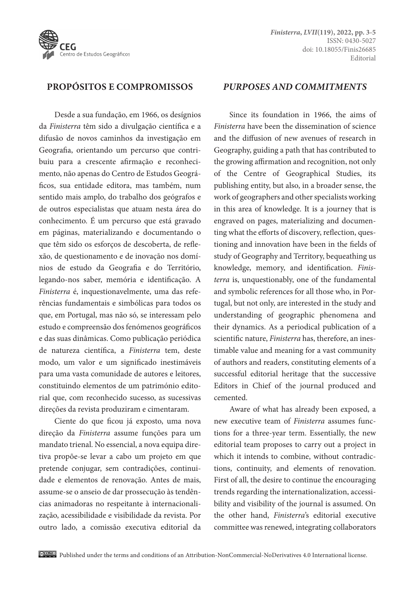

## **PROPÓSITOS E COMPROMISSOS**

Desde a sua fundação, em 1966, os desígnios da *Finisterra* têm sido a divulgação científica e a difusão de novos caminhos da investigação em Geografia, orientando um percurso que contribuiu para a crescente afirmação e reconhecimento, não apenas do Centro de Estudos Geográficos, sua entidade editora, mas também, num sentido mais amplo, do trabalho dos geógrafos e de outros especialistas que atuam nesta área do conhecimento. É um percurso que está gravado em páginas, materializando e documentando o que têm sido os esforços de descoberta, de reflexão, de questionamento e de inovação nos domínios de estudo da Geografia e do Território, legando-nos saber, memória e identificação. A *Finisterra* é, inquestionavelmente, uma das referências fundamentais e simbólicas para todos os que, em Portugal, mas não só, se interessam pelo estudo e compreensão dos fenómenos geográficos e das suas dinâmicas. Como publicação periódica de natureza científica, a *Finisterra* tem, deste modo, um valor e um significado inestimáveis para uma vasta comunidade de autores e leitores, constituindo elementos de um património editorial que, com reconhecido sucesso, as sucessivas direções da revista produziram e cimentaram.

Ciente do que ficou já exposto, uma nova direção da *Finisterra* assume funções para um mandato trienal. No essencial, a nova equipa diretiva propõe-se levar a cabo um projeto em que pretende conjugar, sem contradições, continuidade e elementos de renovação. Antes de mais, assume-se o anseio de dar prossecução às tendências animadoras no respeitante à internacionalização, acessibilidade e visibilidade da revista. Por outro lado, a comissão executiva editorial da

## *PURPOSES AND COMMITMENTS*

Since its foundation in 1966, the aims of *Finisterra* have been the dissemination of science and the diffusion of new avenues of research in Geography, guiding a path that has contributed to the growing affirmation and recognition, not only of the Centre of Geographical Studies, its publishing entity, but also, in a broader sense, the work of geographers and other specialists working in this area of knowledge. It is a journey that is engraved on pages, materializing and documenting what the efforts of discovery, reflection, questioning and innovation have been in the fields of study of Geography and Territory, bequeathing us knowledge, memory, and identification. *Finisterra* is, unquestionably, one of the fundamental and symbolic references for all those who, in Portugal, but not only, are interested in the study and understanding of geographic phenomena and their dynamics. As a periodical publication of a scientific nature, *Finisterra* has, therefore, an inestimable value and meaning for a vast community of authors and readers, constituting elements of a successful editorial heritage that the successive Editors in Chief of the journal produced and cemented.

Aware of what has already been exposed, a new executive team of *Finisterra* assumes functions for a three-year term. Essentially, the new editorial team proposes to carry out a project in which it intends to combine, without contradictions, continuity, and elements of renovation. First of all, the desire to continue the encouraging trends regarding the internationalization, accessibility and visibility of the journal is assumed. On the other hand, *Finisterra*'s editorial executive committee was renewed, integrating collaborators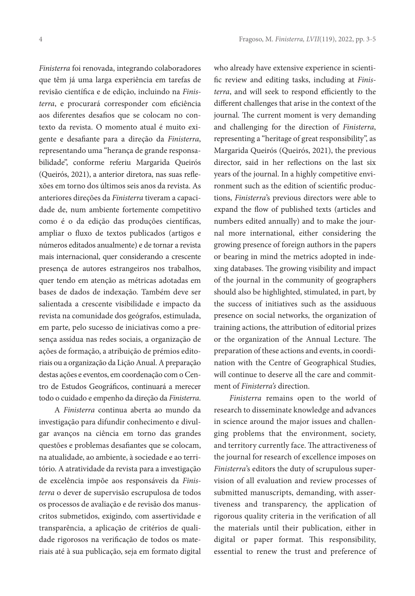*Finisterra* foi renovada, integrando colaboradores que têm já uma larga experiência em tarefas de revisão científica e de edição, incluindo na *Finisterra*, e procurará corresponder com eficiência aos diferentes desafios que se colocam no contexto da revista. O momento atual é muito exigente e desafiante para a direção da *Finisterra*, representando uma "herança de grande responsabilidade", conforme referiu Margarida Queirós (Queirós, 2021), a anterior diretora, nas suas reflexões em torno dos últimos seis anos da revista. As anteriores direções da *Finisterra* tiveram a capacidade de, num ambiente fortemente competitivo como é o da edição das produções científicas, ampliar o fluxo de textos publicados (artigos e números editados anualmente) e de tornar a revista mais internacional, quer considerando a crescente presença de autores estrangeiros nos trabalhos, quer tendo em atenção as métricas adotadas em bases de dados de indexação. Também deve ser salientada a crescente visibilidade e impacto da revista na comunidade dos geógrafos, estimulada, em parte, pelo sucesso de iniciativas como a presença assídua nas redes sociais, a organização de ações de formação, a atribuição de prémios editoriais ou a organização da Lição Anual. A preparação destas ações e eventos, em coordenação com o Centro de Estudos Geográficos, continuará a merecer todo o cuidado e empenho da direção da *Finisterra*.

A *Finisterra* continua aberta ao mundo da investigação para difundir conhecimento e divulgar avanços na ciência em torno das grandes questões e problemas desafiantes que se colocam, na atualidade, ao ambiente, à sociedade e ao território. A atratividade da revista para a investigação de excelência impõe aos responsáveis da *Finisterra* o dever de supervisão escrupulosa de todos os processos de avaliação e de revisão dos manuscritos submetidos, exigindo, com assertividade e transparência, a aplicação de critérios de qualidade rigorosos na verificação de todos os materiais até à sua publicação, seja em formato digital

who already have extensive experience in scientific review and editing tasks, including at *Finisterra*, and will seek to respond efficiently to the different challenges that arise in the context of the journal. The current moment is very demanding and challenging for the direction of *Finisterra*, representing a "heritage of great responsibility", as Margarida Queirós (Queirós, 2021), the previous director, said in her reflections on the last six years of the journal. In a highly competitive environment such as the edition of scientific productions, *Finisterra*'s previous directors were able to expand the flow of published texts (articles and numbers edited annually) and to make the journal more international, either considering the growing presence of foreign authors in the papers or bearing in mind the metrics adopted in indexing databases. The growing visibility and impact of the journal in the community of geographers should also be highlighted, stimulated, in part, by the success of initiatives such as the assiduous presence on social networks, the organization of training actions, the attribution of editorial prizes or the organization of the Annual Lecture. The preparation of these actions and events, in coordination with the Centre of Geographical Studies, will continue to deserve all the care and commitment of *Finisterra's* direction.

*Finisterra* remains open to the world of research to disseminate knowledge and advances in science around the major issues and challenging problems that the environment, society, and territory currently face. The attractiveness of the journal for research of excellence imposes on *Finisterra*'s editors the duty of scrupulous supervision of all evaluation and review processes of submitted manuscripts, demanding, with assertiveness and transparency, the application of rigorous quality criteria in the verification of all the materials until their publication, either in digital or paper format. This responsibility, essential to renew the trust and preference of